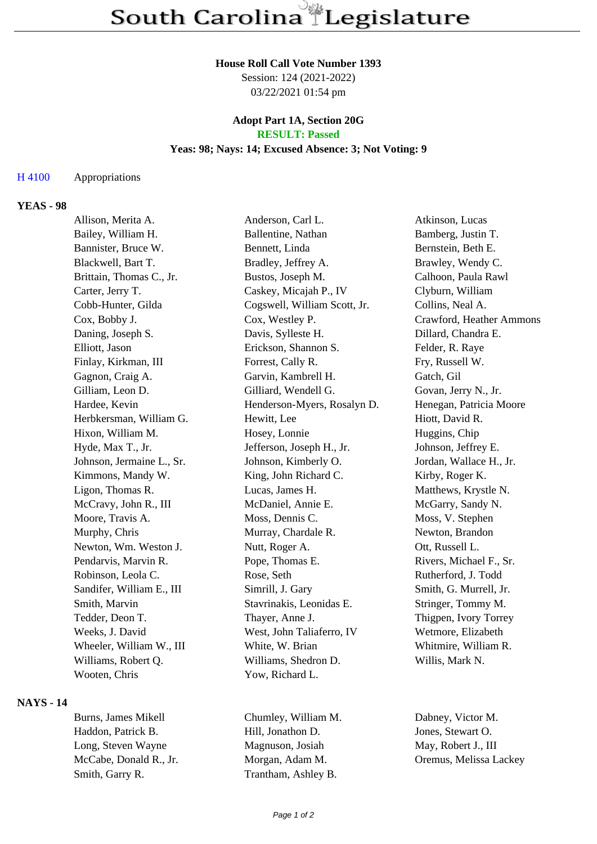#### **House Roll Call Vote Number 1393**

Session: 124 (2021-2022) 03/22/2021 01:54 pm

### **Adopt Part 1A, Section 20G RESULT: Passed**

### **Yeas: 98; Nays: 14; Excused Absence: 3; Not Voting: 9**

### H 4100 Appropriations

### **YEAS - 98**

| Allison, Merita A.        | Anderson, Carl L.            | Atkinson, Lucas          |
|---------------------------|------------------------------|--------------------------|
| Bailey, William H.        | Ballentine, Nathan           | Bamberg, Justin T.       |
| Bannister, Bruce W.       | Bennett, Linda               | Bernstein, Beth E.       |
| Blackwell, Bart T.        | Bradley, Jeffrey A.          | Brawley, Wendy C.        |
| Brittain, Thomas C., Jr.  | Bustos, Joseph M.            | Calhoon, Paula Rawl      |
| Carter, Jerry T.          | Caskey, Micajah P., IV       | Clyburn, William         |
| Cobb-Hunter, Gilda        | Cogswell, William Scott, Jr. | Collins, Neal A.         |
| Cox, Bobby J.             | Cox, Westley P.              | Crawford, Heather Ammons |
| Daning, Joseph S.         | Davis, Sylleste H.           | Dillard, Chandra E.      |
| Elliott, Jason            | Erickson, Shannon S.         | Felder, R. Raye          |
| Finlay, Kirkman, III      | Forrest, Cally R.            | Fry, Russell W.          |
| Gagnon, Craig A.          | Garvin, Kambrell H.          | Gatch, Gil               |
| Gilliam, Leon D.          | Gilliard, Wendell G.         | Govan, Jerry N., Jr.     |
| Hardee, Kevin             | Henderson-Myers, Rosalyn D.  | Henegan, Patricia Moore  |
| Herbkersman, William G.   | Hewitt, Lee                  | Hiott, David R.          |
| Hixon, William M.         | Hosey, Lonnie                | Huggins, Chip            |
| Hyde, Max T., Jr.         | Jefferson, Joseph H., Jr.    | Johnson, Jeffrey E.      |
| Johnson, Jermaine L., Sr. | Johnson, Kimberly O.         | Jordan, Wallace H., Jr.  |
| Kimmons, Mandy W.         | King, John Richard C.        | Kirby, Roger K.          |
| Ligon, Thomas R.          | Lucas, James H.              | Matthews, Krystle N.     |
| McCravy, John R., III     | McDaniel, Annie E.           | McGarry, Sandy N.        |
| Moore, Travis A.          | Moss, Dennis C.              | Moss, V. Stephen         |
| Murphy, Chris             | Murray, Chardale R.          | Newton, Brandon          |
| Newton, Wm. Weston J.     | Nutt, Roger A.               | Ott, Russell L.          |
| Pendarvis, Marvin R.      | Pope, Thomas E.              | Rivers, Michael F., Sr.  |
| Robinson, Leola C.        | Rose, Seth                   | Rutherford, J. Todd      |
| Sandifer, William E., III | Simrill, J. Gary             | Smith, G. Murrell, Jr.   |
| Smith, Marvin             | Stavrinakis, Leonidas E.     | Stringer, Tommy M.       |
| Tedder, Deon T.           | Thayer, Anne J.              | Thigpen, Ivory Torrey    |
| Weeks, J. David           | West, John Taliaferro, IV    | Wetmore, Elizabeth       |
| Wheeler, William W., III  | White, W. Brian              | Whitmire, William R.     |
| Williams, Robert Q.       | Williams, Shedron D.         | Willis, Mark N.          |
| Wooten, Chris             | Yow, Richard L.              |                          |
|                           |                              |                          |

# **NAYS - 14**

Haddon, Patrick B. Hill, Jonathon D. Jones, Stewart O. Long, Steven Wayne Magnuson, Josiah May, Robert J., III McCabe, Donald R., Jr. Morgan, Adam M. Oremus, Melissa Lackey Smith, Garry R. Trantham, Ashley B.

Burns, James Mikell Chumley, William M. Dabney, Victor M.